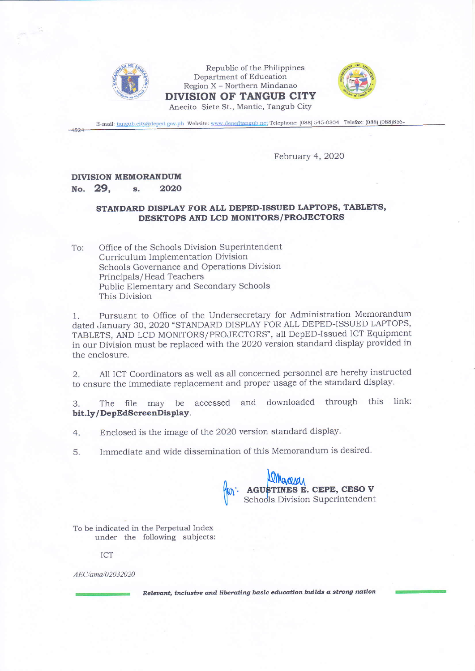

Republic of the Philippines Department of Education Region X - Northern Mindanao DIVISION OF TANGUB CITY Anecito Siete St., Mantic, Tangub City



E-mail: tangub.city@deped.gov.ph Website: www.depedtangub.net Telephone: (088) 545-0304 Telefax: (088) (088)856-

## February 4, 2020

## **DIVISION MEMORANDUM**

## No. 29.  $\mathbf{s}$ . 2020

## STANDARD DISPLAY FOR ALL DEPED-ISSUED LAPTOPS, TABLETS, DESKTOPS AND LCD MONITORS/PROJECTORS

Office of the Schools Division Superintendent To: Curriculum Implementation Division Schools Governance and Operations Division Principals/Head Teachers Public Elementary and Secondary Schools This Division

Pursuant to Office of the Undersecretary for Administration Memorandum 1. dated January 30, 2020 "STANDARD DISPLAY FOR ALL DEPED-ISSUED LAPTOPS, TABLETS, AND LCD MONITORS/PROJECTORS", all DepED-Issued ICT Equipment in our Division must be replaced with the 2020 version standard display provided in the enclosure.

All ICT Coordinators as well as all concerned personnel are hereby instructed  $\overline{2}$ . to ensure the immediate replacement and proper usage of the standard display.

The file may be accessed and downloaded through this link: 3. bit.ly/DepEdScreenDisplay.

- Enclosed is the image of the 2020 version standard display. 4.
- Immediate and wide dissemination of this Memorandum is desired.  $5<sub>1</sub>$



To be indicated in the Perpetual Index under the following subjects:

ICT

AEC/ama/02032020

Relevant, inclusive and liberating basic education builds a strong nation